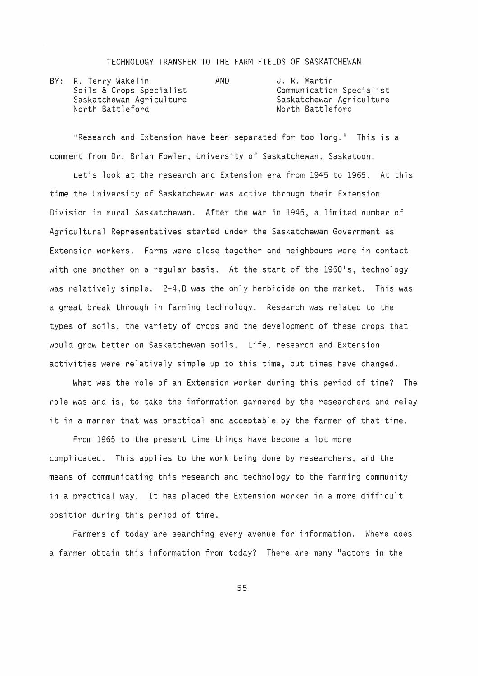## TECHNOLOGY TRANSFER TO THE FARM FIELDS OF SASKATCHEWAN

|  | BY: R. Terry Wakelin     | AND. | J. R. Martin             |
|--|--------------------------|------|--------------------------|
|  | Soils & Crops Specialist |      | Communication Specialist |
|  | Saskatchewan Agriculture |      | Saskatchewan Agriculture |
|  | North Battleford         |      | North Battleford         |

"Research and Extension have been separated for too long." This is a comment from Dr. Brian Fowler, University of Saskatchewan, Saskatoon.

Let's look at the research and Extension era from 1945 to 1965. At this time the University of Saskatchewan was active through their Extension Division in rural Saskatchewan. After the war in 1945, a limited number of Agricultural Representatives started under the Saskatchewan Government as Extension workers. Farms were close together and neighbours were in contact with one another on a regular basis. At the start of the 1950's, technology was relatively simple. 2-4,D was the only herbicide on the market. This was a great break through in farming technology. Research was related to the types of soils, the variety of crops and the development of these crops that would grow better on Saskatchewan soils. Life, research and Extension activities were relatively simple up to this time, but times have changed.

What was the role of an Extension worker during this period of time? The role was and is, to take the information garnered by the researchers and relay it in a manner that was practical and acceptable by the farmer of that time.

From 1965 to the present time things have become a lot more complicated. This applies to the work being done by researchers, and the means of communicating this research and technology to the farming community in a practical way. It has placed the Extension worker in a more difficult position during this period of time.

Farmers of today are searching every avenue for information. Where does a farmer obtain this information from today? There are many "actors in the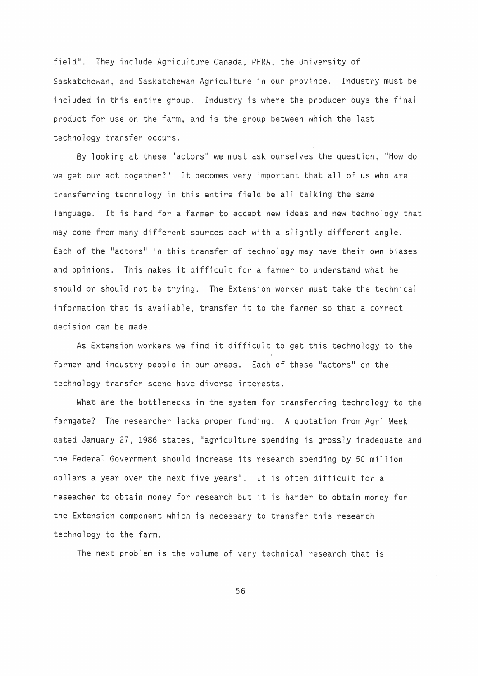field". They include Agriculture Canada, PFRA, the University of Saskatchewan, and Saskatchewan Agriculture in our province. Industry must be included in this entire group. Industry is where the producer buys the final product for use on the farm, and is the group between which the last technology transfer occurs.

By looking at these "actors" we must ask ourselves the question, "How do we get our act together?" It becomes very important that all of us who are transferring technology in this entire field be all talking the same language. It is hard for a farmer to accept new ideas and new technology that may come from many different sources each with a slightly different angle. Each of the "actors" in this transfer of technology may have their own biases and opinions. This makes it difficult for a farmer to understand what he should or should not be trying. The Extension worker must take the technical information that is available, transfer it to the farmer so that a correct decision can be made.

As Extension workers we find it difficult to get this technology to the farmer and industry people in our areas. Each of these "actors" on the technology transfer scene have diverse interests.

What are the bottlenecks in the system for transferring technology to the farmgate? The researcher lacks proper funding. A quotation from Agri Week dated January 27, 1986 states, "agriculture spending is grossly inadequate and the Federal Government should increase its research spending by 50 million dollars a year over the next five years". It is often difficult for a reseacher to obtain money for research but it is harder to obtain money for the Extension component which is necessary to transfer this research technology to the farm.

The next problem is the volume of very technical research that is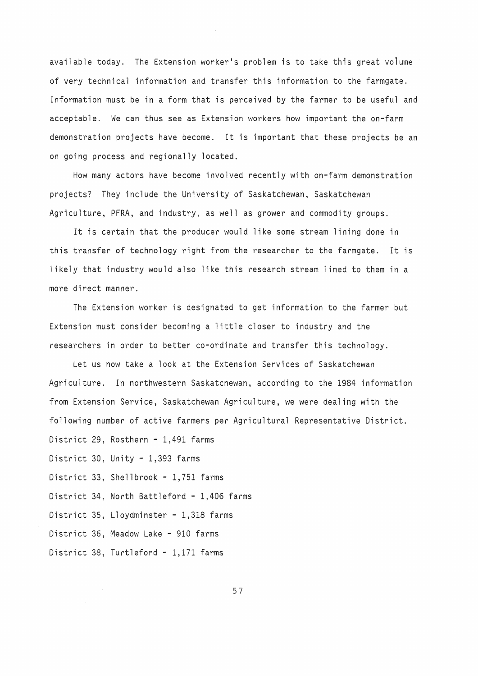available today. The Extension worker's problem is to take this great volume of very technical information and transfer this information to the farmgate. Information must be in a form that is perceived by the farmer to be useful and acceptable. We can thus see as Extension workers how important the on-farm demonstration projects have become. It is important that these projects be an on going process and regionally located.

How many actors have become involved recently with on-farm demonstration projects? They include the University of Saskatchewan, Saskatchewan Agriculture, PFRA, and industry, as well as grower and commodity groups.

It is certain that the producer would like some stream lining done in this transfer of technology right from the researcher to the farmgate. It is likely that industry would also like this research stream lined to them in a more direct manner.

The Extension worker is designated to get information to the farmer but Extension must consider becoming a little closer to industry and the researchers in order to better co-ordinate and transfer this technology.

Let us now take a look at the Extension Services of Saskatchewan Agriculture. In northwestern Saskatchewan, according to the 1984 information from Extension Service, Saskatchewan Agriculture, we were dealing with the following number of active farmers per Agricultural Representative District. District 29, Rosthern - 1,491 farms District 30, Unity - 1,393 farms District 33, Shellbrook - 1,751 farms District 34, North Battleford - 1,406 farms District 35, Lloydminster - 1,318 farms District 36, Meadow Lake - 910 farms District 38, Turtleford - 1,171 farms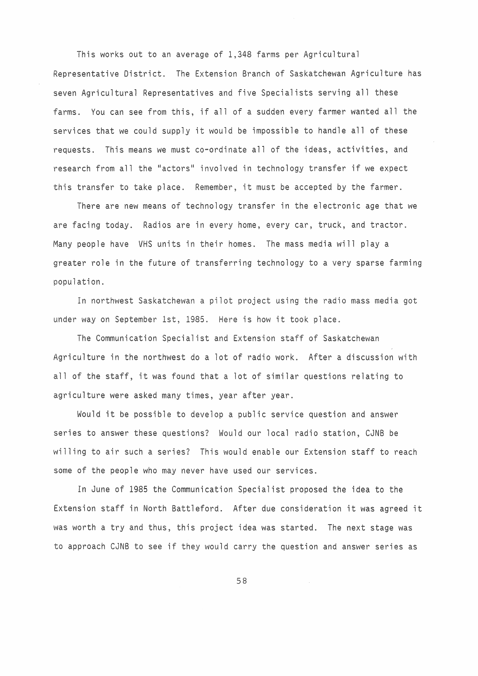This works out to an average of 1,348 farms per Agricultural Representative District. The Extension Branch of Saskatchewan Agriculture has seven Agricultural Representatives and five Specialists serving all these farms. You can see from this, if all of a sudden every farmer wanted all the services that we could supply it would be impossible to handle all of these requests. This means we must co-ordinate all of the ideas, activities, and research from all the "actors" involved in technology transfer if we expect this transfer to take place. Remember, it must be accepted by the farmer.

There are new means of technology transfer in the electronic age that we are facing today. Radios are in every home, every car, truck, and tractor. Many people have VHS units in their homes. The mass media will play a greater role in the future of transferring technology to a very sparse farming population.

In northwest Saskatchewan a pilot project using the radio mass media got under way on September 1st, 1985. Here is how it took place.

The Communication Specialist and Extension staff of Saskatchewan Agriculture in the northwest do a lot of radio work. After a discussion with all of the staff, it was found that a lot of similar questions relating to agriculture were asked many times, year after year.

Would it be possible to develop a public service question and answer series to answer these questions? Would our local radio station, CJNB be willing to air such a series? This would enable our Extension staff to reach some of the people who may never have used our services.

In June of 1985 the Communication Specialist proposed the idea to the Extension staff in North Battleford. After due consideration it was agreed it was worth a try and thus, this project idea was started. The next stage was to approach CJNB to see if they would carry the question and answer series as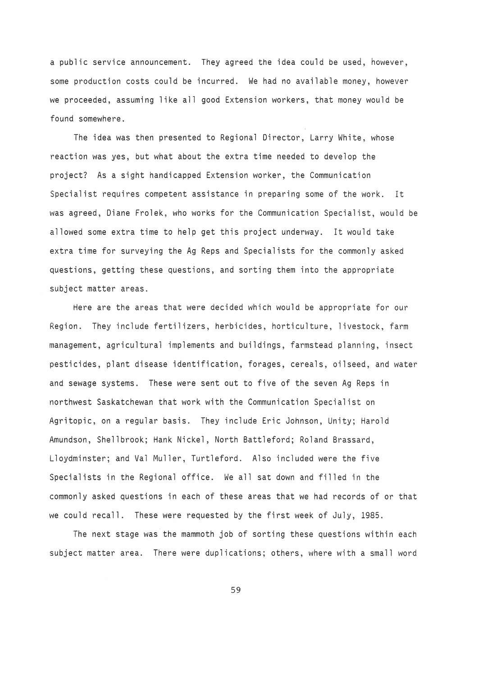a public service announcement. They agreed the idea could be used, however, some production costs could be incurred. We had no available money, however we proceeded, assuming like all good Extension workers, that money would be found somewhere.

The idea was then presented to Regional Director, Larry White, whose reaction was yes, but what about the extra time needed to develop the project? As a sight handicapped Extension worker, the Communication Specialist requires competent assistance in preparing some of the work. It was agreed, Diane Frolek, who works for the Communication Specialist, would be allowed some extra time to help get this project underway. It would take extra time for surveying the Ag Reps and Specialists for the commonly asked questions, getting these questions, and sorting them into the appropriate subject matter areas.

Here are the areas that were decided which would be appropriate for our Region. They include fertilizers, herbicides, horticulture, livestock, farm management, agricultural implements and buildings, farmstead planning, insect pesticides, plant disease identification, forages, cereals, oilseed, and water and sewage systems. These were sent out to five of the seven Ag Reps in northwest Saskatchewan that work with the Communication Specialist on Agritopic, on a regular basis. They include Eric Johnson, Unity; Harold Amundson, Shellbrook; Hank Nickel, North Battleford; Roland Brassard, Lloydminster; and Val Muller, Turtleford. Also included were the five Specialists in the Regional office. We all sat down and filled in the commonly asked questions in each of these areas that we had records of or that we could recall. These were requested by the first week of July, 1985.

The next stage was the mammoth job of sorting these questions within each subject matter area. There were duplications; others, where with a small word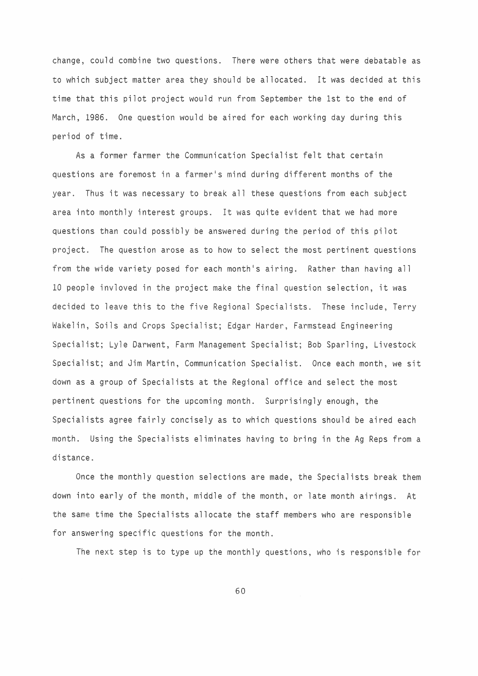change, could combine two questions. There were others that were debatable as to which subject matter area they should be allocated. It was decided at this time that this pilot project would run from September the 1st to the end of March, 1986. One question would be aired for each working day during this period of time.

As a former farmer the Communication Specialist felt that certain questions are foremost in a farmer's mind during different months of the year. Thus it was necessary to break all these questions from each subject area into monthly interest groups. It was quite evident that we had more questions than could possibly be answered during the period of this pilot project. The question arose as to how to select the most pertinent questions from the wide variety posed for each month's airing. Rather than having all 10 people invloved in the project make the final question selection, it was decided to leave this to the five Regional Specialists. These include, Terry Wakelin, Soils and Crops Specialist; Edgar Harder, Farmstead Engineering Specialist; Lyle Darwent, Farm Management Specialist; Bob Sparling, Livestock Specialist; and Jim Martin, Communication Specialist. Once each month, we sit down as a group of Specialists at the Regional office and select the most pertinent questions for the upcoming month. Surprisingly enough, the Specialists agree fairly concisely as to which questions should be aired each month. Using the Specialists eliminates having to bring in the Ag Reps from a distance.

Once the monthly question selections are made, the Specialists break them down into early of the month, middle of the month, or late month airings. At the same time the Specialists allocate the staff members who are responsible for answering specific questions for the month.

The next step is to type up the monthly questions, who is responsible for